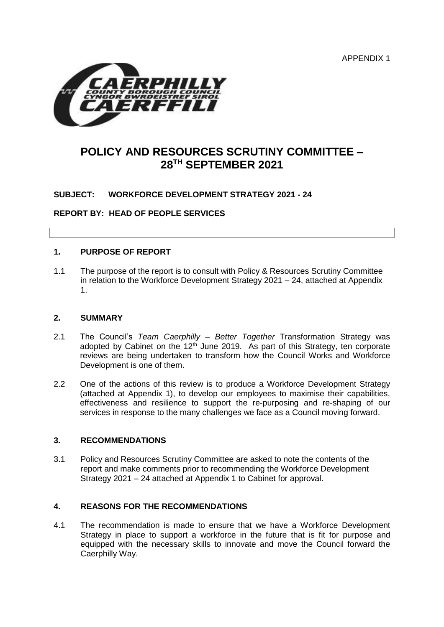APPENDIX 1



# **POLICY AND RESOURCES SCRUTINY COMMITTEE – 28TH SEPTEMBER 2021**

# **SUBJECT: WORKFORCE DEVELOPMENT STRATEGY 2021 - 24**

**REPORT BY: HEAD OF PEOPLE SERVICES**

#### **1. PURPOSE OF REPORT**

1.1 The purpose of the report is to consult with Policy & Resources Scrutiny Committee in relation to the Workforce Development Strategy 2021 – 24, attached at Appendix 1.

#### **2. SUMMARY**

- 2.1 The Council's *Team Caerphilly – Better Together* Transformation Strategy was adopted by Cabinet on the  $12<sup>th</sup>$  June 2019. As part of this Strategy, ten corporate reviews are being undertaken to transform how the Council Works and Workforce Development is one of them.
- 2.2 One of the actions of this review is to produce a Workforce Development Strategy (attached at Appendix 1), to develop our employees to maximise their capabilities, effectiveness and resilience to support the re-purposing and re-shaping of our services in response to the many challenges we face as a Council moving forward.

#### **3. RECOMMENDATIONS**

3.1 Policy and Resources Scrutiny Committee are asked to note the contents of the report and make comments prior to recommending the Workforce Development Strategy 2021 – 24 attached at Appendix 1 to Cabinet for approval.

### **4. REASONS FOR THE RECOMMENDATIONS**

4.1 The recommendation is made to ensure that we have a Workforce Development Strategy in place to support a workforce in the future that is fit for purpose and equipped with the necessary skills to innovate and move the Council forward the Caerphilly Way.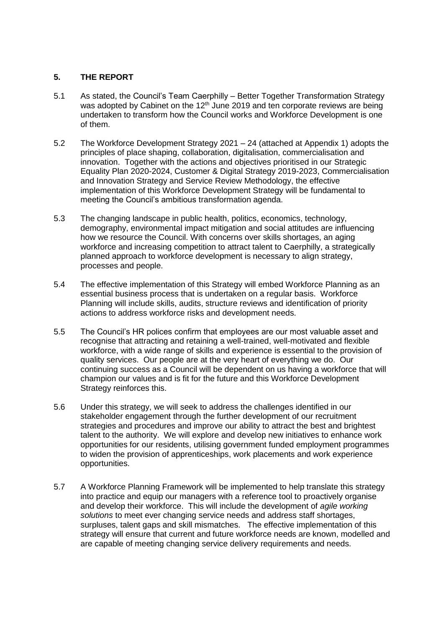# **5. THE REPORT**

- 5.1 As stated, the Council's Team Caerphilly Better Together Transformation Strategy was adopted by Cabinet on the  $12<sup>th</sup>$  June 2019 and ten corporate reviews are being undertaken to transform how the Council works and Workforce Development is one of them.
- 5.2 The Workforce Development Strategy 2021 24 (attached at Appendix 1) adopts the principles of place shaping, collaboration, digitalisation, commercialisation and innovation. Together with the actions and objectives prioritised in our Strategic Equality Plan 2020-2024, Customer & Digital Strategy 2019-2023, Commercialisation and Innovation Strategy and Service Review Methodology, the effective implementation of this Workforce Development Strategy will be fundamental to meeting the Council's ambitious transformation agenda.
- 5.3 The changing landscape in public health, politics, economics, technology, demography, environmental impact mitigation and social attitudes are influencing how we resource the Council. With concerns over skills shortages, an aging workforce and increasing competition to attract talent to Caerphilly, a strategically planned approach to workforce development is necessary to align strategy, processes and people.
- 5.4 The effective implementation of this Strategy will embed Workforce Planning as an essential business process that is undertaken on a regular basis. Workforce Planning will include skills, audits, structure reviews and identification of priority actions to address workforce risks and development needs.
- 5.5 The Council's HR polices confirm that employees are our most valuable asset and recognise that attracting and retaining a well-trained, well-motivated and flexible workforce, with a wide range of skills and experience is essential to the provision of quality services. Our people are at the very heart of everything we do. Our continuing success as a Council will be dependent on us having a workforce that will champion our values and is fit for the future and this Workforce Development Strategy reinforces this.
- 5.6 Under this strategy, we will seek to address the challenges identified in our stakeholder engagement through the further development of our recruitment strategies and procedures and improve our ability to attract the best and brightest talent to the authority. We will explore and develop new initiatives to enhance work opportunities for our residents, utilising government funded employment programmes to widen the provision of apprenticeships, work placements and work experience opportunities.
- 5.7 A Workforce Planning Framework will be implemented to help translate this strategy into practice and equip our managers with a reference tool to proactively organise and develop their workforce. This will include the development of *agile working solutions* to meet ever changing service needs and address staff shortages, surpluses, talent gaps and skill mismatches. The effective implementation of this strategy will ensure that current and future workforce needs are known, modelled and are capable of meeting changing service delivery requirements and needs.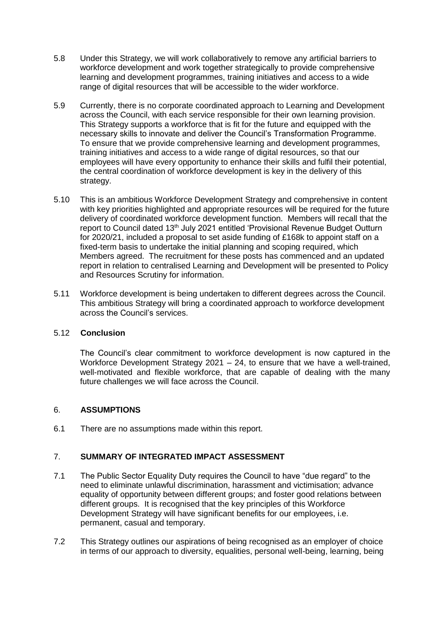- 5.8 Under this Strategy, we will work collaboratively to remove any artificial barriers to workforce development and work together strategically to provide comprehensive learning and development programmes, training initiatives and access to a wide range of digital resources that will be accessible to the wider workforce.
- 5.9 Currently, there is no corporate coordinated approach to Learning and Development across the Council, with each service responsible for their own learning provision. This Strategy supports a workforce that is fit for the future and equipped with the necessary skills to innovate and deliver the Council's Transformation Programme. To ensure that we provide comprehensive learning and development programmes, training initiatives and access to a wide range of digital resources, so that our employees will have every opportunity to enhance their skills and fulfil their potential, the central coordination of workforce development is key in the delivery of this strategy.
- 5.10 This is an ambitious Workforce Development Strategy and comprehensive in content with key priorities highlighted and appropriate resources will be required for the future delivery of coordinated workforce development function. Members will recall that the report to Council dated 13<sup>th</sup> July 2021 entitled 'Provisional Revenue Budget Outturn for 2020/21, included a proposal to set aside funding of £168k to appoint staff on a fixed-term basis to undertake the initial planning and scoping required, which Members agreed. The recruitment for these posts has commenced and an updated report in relation to centralised Learning and Development will be presented to Policy and Resources Scrutiny for information.
- 5.11 Workforce development is being undertaken to different degrees across the Council. This ambitious Strategy will bring a coordinated approach to workforce development across the Council's services.

## 5.12 **Conclusion**

The Council's clear commitment to workforce development is now captured in the Workforce Development Strategy 2021 – 24, to ensure that we have a well-trained, well-motivated and flexible workforce, that are capable of dealing with the many future challenges we will face across the Council.

### 6. **ASSUMPTIONS**

6.1 There are no assumptions made within this report.

# 7. **SUMMARY OF INTEGRATED IMPACT ASSESSMENT**

- 7.1 The Public Sector Equality Duty requires the Council to have "due regard" to the need to eliminate unlawful discrimination, harassment and victimisation; advance equality of opportunity between different groups; and foster good relations between different groups. It is recognised that the key principles of this Workforce Development Strategy will have significant benefits for our employees, i.e. permanent, casual and temporary.
- 7.2 This Strategy outlines our aspirations of being recognised as an employer of choice in terms of our approach to diversity, equalities, personal well-being, learning, being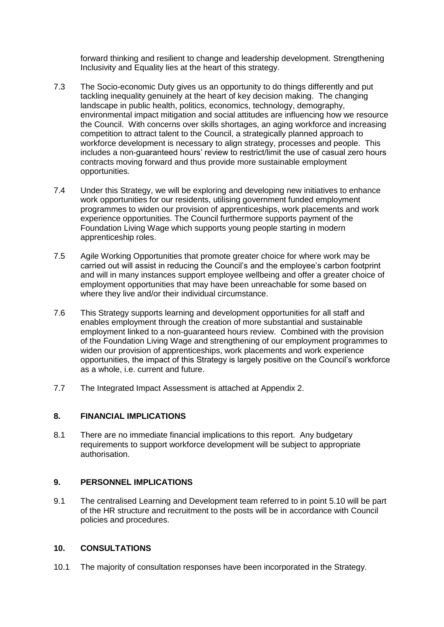forward thinking and resilient to change and leadership development. Strengthening Inclusivity and Equality lies at the heart of this strategy.

- 7.3 The Socio-economic Duty gives us an opportunity to do things differently and put tackling inequality genuinely at the heart of key decision making. The changing landscape in public health, politics, economics, technology, demography, environmental impact mitigation and social attitudes are influencing how we resource the Council. With concerns over skills shortages, an aging workforce and increasing competition to attract talent to the Council, a strategically planned approach to workforce development is necessary to align strategy, processes and people. This includes a non-guaranteed hours' review to restrict/limit the use of casual zero hours contracts moving forward and thus provide more sustainable employment opportunities.
- 7.4 Under this Strategy, we will be exploring and developing new initiatives to enhance work opportunities for our residents, utilising government funded employment programmes to widen our provision of apprenticeships, work placements and work experience opportunities. The Council furthermore supports payment of the Foundation Living Wage which supports young people starting in modern apprenticeship roles.
- 7.5 Agile Working Opportunities that promote greater choice for where work may be carried out will assist in reducing the Council's and the employee's carbon footprint and will in many instances support employee wellbeing and offer a greater choice of employment opportunities that may have been unreachable for some based on where they live and/or their individual circumstance.
- 7.6 This Strategy supports learning and development opportunities for all staff and enables employment through the creation of more substantial and sustainable employment linked to a non-guaranteed hours review. Combined with the provision of the Foundation Living Wage and strengthening of our employment programmes to widen our provision of apprenticeships, work placements and work experience opportunities, the impact of this Strategy is largely positive on the Council's workforce as a whole, i.e. current and future.
- 7.7 The Integrated Impact Assessment is attached at Appendix 2.

### **8. FINANCIAL IMPLICATIONS**

8.1 There are no immediate financial implications to this report. Any budgetary requirements to support workforce development will be subject to appropriate authorisation.

### **9. PERSONNEL IMPLICATIONS**

9.1 The centralised Learning and Development team referred to in point 5.10 will be part of the HR structure and recruitment to the posts will be in accordance with Council policies and procedures.

### **10. CONSULTATIONS**

10.1 The majority of consultation responses have been incorporated in the Strategy.